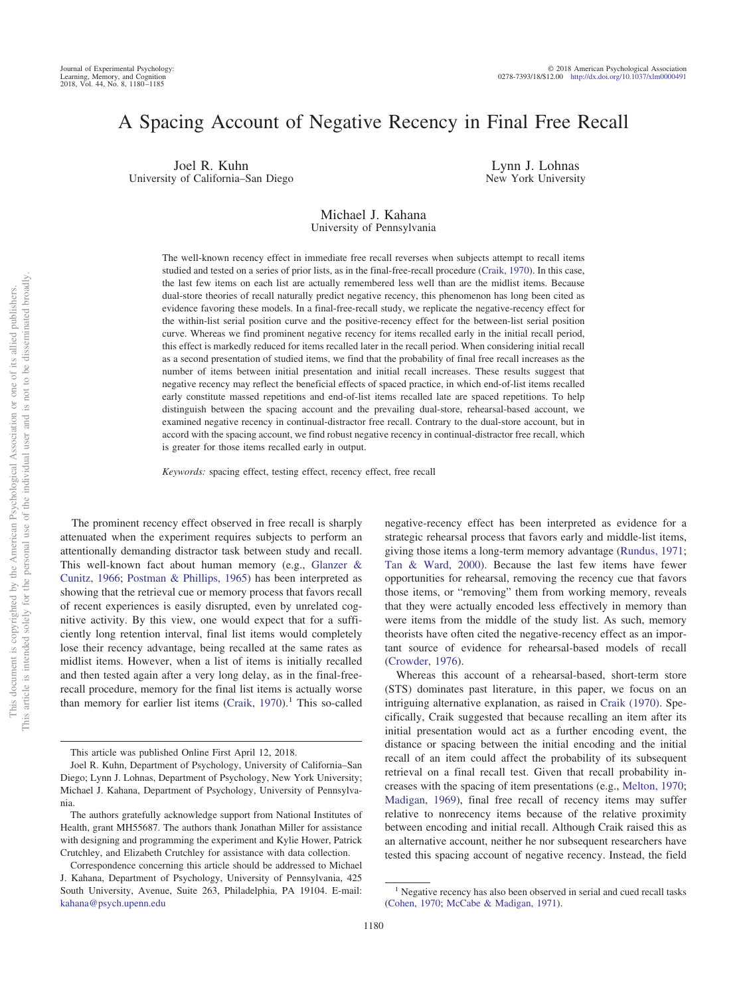# A Spacing Account of Negative Recency in Final Free Recall

Joel R. Kuhn University of California–San Diego

Lynn J. Lohnas New York University

## Michael J. Kahana University of Pennsylvania

The well-known recency effect in immediate free recall reverses when subjects attempt to recall items studied and tested on a series of prior lists, as in the final-free-recall procedure [\(Craik, 1970\)](#page-4-0). In this case, the last few items on each list are actually remembered less well than are the midlist items. Because dual-store theories of recall naturally predict negative recency, this phenomenon has long been cited as evidence favoring these models. In a final-free-recall study, we replicate the negative-recency effect for the within-list serial position curve and the positive-recency effect for the between-list serial position curve. Whereas we find prominent negative recency for items recalled early in the initial recall period, this effect is markedly reduced for items recalled later in the recall period. When considering initial recall as a second presentation of studied items, we find that the probability of final free recall increases as the number of items between initial presentation and initial recall increases. These results suggest that negative recency may reflect the beneficial effects of spaced practice, in which end-of-list items recalled early constitute massed repetitions and end-of-list items recalled late are spaced repetitions. To help distinguish between the spacing account and the prevailing dual-store, rehearsal-based account, we examined negative recency in continual-distractor free recall. Contrary to the dual-store account, but in accord with the spacing account, we find robust negative recency in continual-distractor free recall, which is greater for those items recalled early in output.

*Keywords:* spacing effect, testing effect, recency effect, free recall

The prominent recency effect observed in free recall is sharply attenuated when the experiment requires subjects to perform an attentionally demanding distractor task between study and recall. This well-known fact about human memory (e.g., [Glanzer &](#page-5-0) [Cunitz, 1966;](#page-5-0) [Postman & Phillips, 1965\)](#page-5-1) has been interpreted as showing that the retrieval cue or memory process that favors recall of recent experiences is easily disrupted, even by unrelated cognitive activity. By this view, one would expect that for a sufficiently long retention interval, final list items would completely lose their recency advantage, being recalled at the same rates as midlist items. However, when a list of items is initially recalled and then tested again after a very long delay, as in the final-freerecall procedure, memory for the final list items is actually worse than memory for earlier list items  $(Craik, 1970).$  $(Craik, 1970).$ <sup>1</sup> This so-called

negative-recency effect has been interpreted as evidence for a strategic rehearsal process that favors early and middle-list items, giving those items a long-term memory advantage [\(Rundus, 1971;](#page-5-2) [Tan & Ward, 2000\)](#page-5-3). Because the last few items have fewer opportunities for rehearsal, removing the recency cue that favors those items, or "removing" them from working memory, reveals that they were actually encoded less effectively in memory than were items from the middle of the study list. As such, memory theorists have often cited the negative-recency effect as an important source of evidence for rehearsal-based models of recall [\(Crowder, 1976\)](#page-5-4).

Whereas this account of a rehearsal-based, short-term store (STS) dominates past literature, in this paper, we focus on an intriguing alternative explanation, as raised in [Craik \(1970\).](#page-4-0) Specifically, Craik suggested that because recalling an item after its initial presentation would act as a further encoding event, the distance or spacing between the initial encoding and the initial recall of an item could affect the probability of its subsequent retrieval on a final recall test. Given that recall probability increases with the spacing of item presentations (e.g., [Melton, 1970;](#page-5-5) [Madigan, 1969\)](#page-5-6), final free recall of recency items may suffer relative to nonrecency items because of the relative proximity between encoding and initial recall. Although Craik raised this as an alternative account, neither he nor subsequent researchers have tested this spacing account of negative recency. Instead, the field

This article was published Online First April 12, 2018.

Joel R. Kuhn, Department of Psychology, University of California–San Diego; Lynn J. Lohnas, Department of Psychology, New York University; Michael J. Kahana, Department of Psychology, University of Pennsylvania.

The authors gratefully acknowledge support from National Institutes of Health, grant MH55687. The authors thank Jonathan Miller for assistance with designing and programming the experiment and Kylie Hower, Patrick Crutchley, and Elizabeth Crutchley for assistance with data collection.

Correspondence concerning this article should be addressed to Michael J. Kahana, Department of Psychology, University of Pennsylvania, 425 South University, Avenue, Suite 263, Philadelphia, PA 19104. E-mail: [kahana@psych.upenn.edu](mailto:kahana@psych.upenn.edu)

<sup>&</sup>lt;sup>1</sup> Negative recency has also been observed in serial and cued recall tasks [\(Cohen, 1970;](#page-4-1) [McCabe & Madigan, 1971\)](#page-5-7).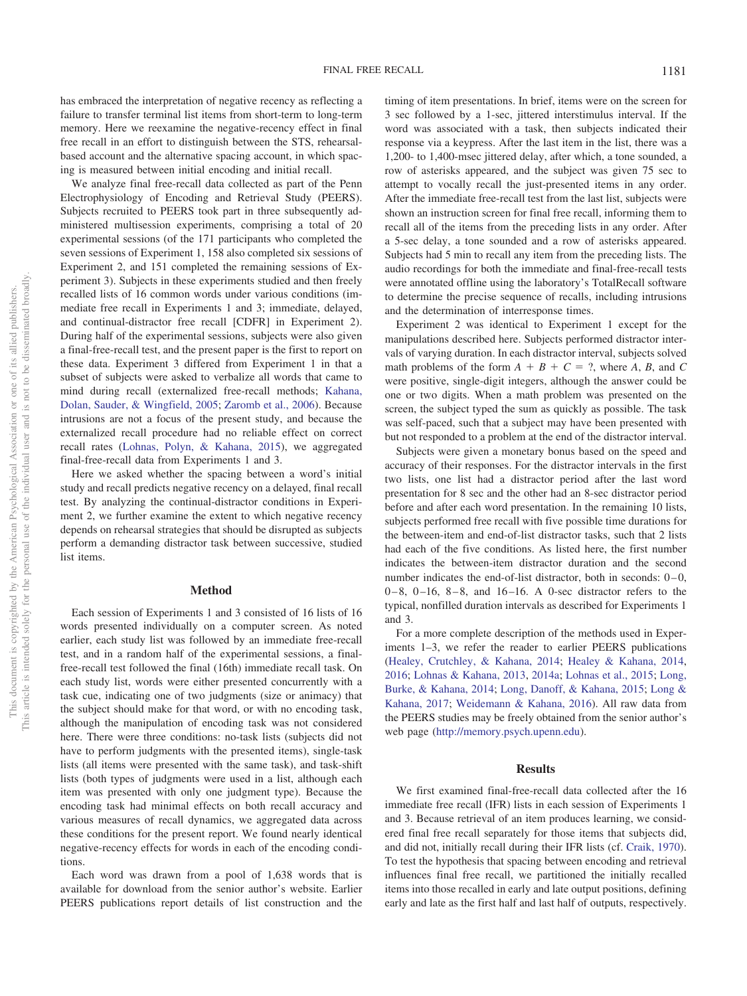has embraced the interpretation of negative recency as reflecting a failure to transfer terminal list items from short-term to long-term memory. Here we reexamine the negative-recency effect in final free recall in an effort to distinguish between the STS, rehearsalbased account and the alternative spacing account, in which spacing is measured between initial encoding and initial recall.

We analyze final free-recall data collected as part of the Penn Electrophysiology of Encoding and Retrieval Study (PEERS). Subjects recruited to PEERS took part in three subsequently administered multisession experiments, comprising a total of 20 experimental sessions (of the 171 participants who completed the seven sessions of Experiment 1, 158 also completed six sessions of Experiment 2, and 151 completed the remaining sessions of Experiment 3). Subjects in these experiments studied and then freely recalled lists of 16 common words under various conditions (immediate free recall in Experiments 1 and 3; immediate, delayed, and continual-distractor free recall [CDFR] in Experiment 2). During half of the experimental sessions, subjects were also given a final-free-recall test, and the present paper is the first to report on these data. Experiment 3 differed from Experiment 1 in that a subset of subjects were asked to verbalize all words that came to mind during recall (externalized free-recall methods; [Kahana,](#page-5-8) [Dolan, Sauder, & Wingfield, 2005;](#page-5-8) [Zaromb et al., 2006\)](#page-5-9). Because intrusions are not a focus of the present study, and because the externalized recall procedure had no reliable effect on correct recall rates [\(Lohnas, Polyn, & Kahana, 2015\)](#page-5-10), we aggregated final-free-recall data from Experiments 1 and 3.

Here we asked whether the spacing between a word's initial study and recall predicts negative recency on a delayed, final recall test. By analyzing the continual-distractor conditions in Experiment 2, we further examine the extent to which negative recency depends on rehearsal strategies that should be disrupted as subjects perform a demanding distractor task between successive, studied list items.

## **Method**

Each session of Experiments 1 and 3 consisted of 16 lists of 16 words presented individually on a computer screen. As noted earlier, each study list was followed by an immediate free-recall test, and in a random half of the experimental sessions, a finalfree-recall test followed the final (16th) immediate recall task. On each study list, words were either presented concurrently with a task cue, indicating one of two judgments (size or animacy) that the subject should make for that word, or with no encoding task, although the manipulation of encoding task was not considered here. There were three conditions: no-task lists (subjects did not have to perform judgments with the presented items), single-task lists (all items were presented with the same task), and task-shift lists (both types of judgments were used in a list, although each item was presented with only one judgment type). Because the encoding task had minimal effects on both recall accuracy and various measures of recall dynamics, we aggregated data across these conditions for the present report. We found nearly identical negative-recency effects for words in each of the encoding conditions.

Each word was drawn from a pool of 1,638 words that is available for download from the senior author's website. Earlier PEERS publications report details of list construction and the timing of item presentations. In brief, items were on the screen for 3 sec followed by a 1-sec, jittered interstimulus interval. If the word was associated with a task, then subjects indicated their response via a keypress. After the last item in the list, there was a 1,200- to 1,400-msec jittered delay, after which, a tone sounded, a row of asterisks appeared, and the subject was given 75 sec to attempt to vocally recall the just-presented items in any order. After the immediate free-recall test from the last list, subjects were shown an instruction screen for final free recall, informing them to recall all of the items from the preceding lists in any order. After a 5-sec delay, a tone sounded and a row of asterisks appeared. Subjects had 5 min to recall any item from the preceding lists. The audio recordings for both the immediate and final-free-recall tests were annotated offline using the laboratory's TotalRecall software to determine the precise sequence of recalls, including intrusions and the determination of interresponse times.

Experiment 2 was identical to Experiment 1 except for the manipulations described here. Subjects performed distractor intervals of varying duration. In each distractor interval, subjects solved math problems of the form  $A + B + C = ?$ , where  $A, B$ , and  $C$ were positive, single-digit integers, although the answer could be one or two digits. When a math problem was presented on the screen, the subject typed the sum as quickly as possible. The task was self-paced, such that a subject may have been presented with but not responded to a problem at the end of the distractor interval.

Subjects were given a monetary bonus based on the speed and accuracy of their responses. For the distractor intervals in the first two lists, one list had a distractor period after the last word presentation for 8 sec and the other had an 8-sec distractor period before and after each word presentation. In the remaining 10 lists, subjects performed free recall with five possible time durations for the between-item and end-of-list distractor tasks, such that 2 lists had each of the five conditions. As listed here, the first number indicates the between-item distractor duration and the second number indicates the end-of-list distractor, both in seconds:  $0-0$ ,  $0-8$ ,  $0-16$ ,  $8-8$ , and  $16-16$ . A 0-sec distractor refers to the typical, nonfilled duration intervals as described for Experiments 1 and 3.

For a more complete description of the methods used in Experiments 1–3, we refer the reader to earlier PEERS publications [\(Healey, Crutchley, & Kahana, 2014;](#page-5-11) [Healey & Kahana, 2014,](#page-5-12) [2016;](#page-5-13) [Lohnas & Kahana, 2013,](#page-5-14) [2014a;](#page-5-15) [Lohnas et al., 2015;](#page-5-10) [Long,](#page-5-16) [Burke, & Kahana, 2014;](#page-5-16) [Long, Danoff, & Kahana, 2015;](#page-5-17) [Long &](#page-5-18) [Kahana, 2017;](#page-5-18) [Weidemann & Kahana, 2016\)](#page-5-19). All raw data from the PEERS studies may be freely obtained from the senior author's web page [\(http://memory.psych.upenn.edu\)](http://memory.psych.upenn.edu).

#### **Results**

We first examined final-free-recall data collected after the 16 immediate free recall (IFR) lists in each session of Experiments 1 and 3. Because retrieval of an item produces learning, we considered final free recall separately for those items that subjects did, and did not, initially recall during their IFR lists (cf. [Craik, 1970\)](#page-4-0). To test the hypothesis that spacing between encoding and retrieval influences final free recall, we partitioned the initially recalled items into those recalled in early and late output positions, defining early and late as the first half and last half of outputs, respectively.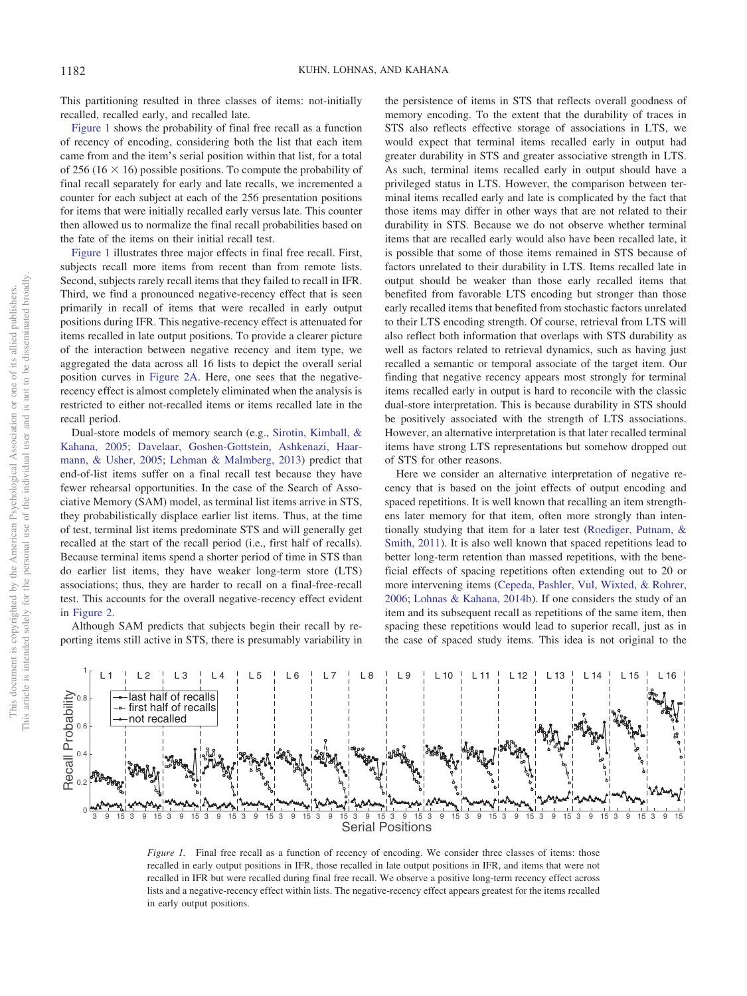This partitioning resulted in three classes of items: not-initially recalled, recalled early, and recalled late.

[Figure 1](#page-2-0) shows the probability of final free recall as a function of recency of encoding, considering both the list that each item came from and the item's serial position within that list, for a total of 256 (16  $\times$  16) possible positions. To compute the probability of final recall separately for early and late recalls, we incremented a counter for each subject at each of the 256 presentation positions for items that were initially recalled early versus late. This counter then allowed us to normalize the final recall probabilities based on the fate of the items on their initial recall test.

[Figure 1](#page-2-0) illustrates three major effects in final free recall. First, subjects recall more items from recent than from remote lists. Second, subjects rarely recall items that they failed to recall in IFR. Third, we find a pronounced negative-recency effect that is seen primarily in recall of items that were recalled in early output positions during IFR. This negative-recency effect is attenuated for items recalled in late output positions. To provide a clearer picture of the interaction between negative recency and item type, we aggregated the data across all 16 lists to depict the overall serial position curves in [Figure 2A.](#page-3-0) Here, one sees that the negativerecency effect is almost completely eliminated when the analysis is restricted to either not-recalled items or items recalled late in the recall period.

Dual-store models of memory search (e.g., [Sirotin, Kimball, &](#page-5-20) [Kahana, 2005;](#page-5-20) [Davelaar, Goshen-Gottstein, Ashkenazi, Haar](#page-5-21)[mann, & Usher, 2005;](#page-5-21) [Lehman & Malmberg, 2013\)](#page-5-22) predict that end-of-list items suffer on a final recall test because they have fewer rehearsal opportunities. In the case of the Search of Associative Memory (SAM) model, as terminal list items arrive in STS, they probabilistically displace earlier list items. Thus, at the time of test, terminal list items predominate STS and will generally get recalled at the start of the recall period (i.e., first half of recalls). Because terminal items spend a shorter period of time in STS than do earlier list items, they have weaker long-term store (LTS) associations; thus, they are harder to recall on a final-free-recall test. This accounts for the overall negative-recency effect evident in [Figure 2.](#page-3-0)

Although SAM predicts that subjects begin their recall by reporting items still active in STS, there is presumably variability in the persistence of items in STS that reflects overall goodness of memory encoding. To the extent that the durability of traces in STS also reflects effective storage of associations in LTS, we would expect that terminal items recalled early in output had greater durability in STS and greater associative strength in LTS. As such, terminal items recalled early in output should have a privileged status in LTS. However, the comparison between terminal items recalled early and late is complicated by the fact that those items may differ in other ways that are not related to their durability in STS. Because we do not observe whether terminal items that are recalled early would also have been recalled late, it is possible that some of those items remained in STS because of factors unrelated to their durability in LTS. Items recalled late in output should be weaker than those early recalled items that benefited from favorable LTS encoding but stronger than those early recalled items that benefited from stochastic factors unrelated to their LTS encoding strength. Of course, retrieval from LTS will also reflect both information that overlaps with STS durability as well as factors related to retrieval dynamics, such as having just recalled a semantic or temporal associate of the target item. Our finding that negative recency appears most strongly for terminal items recalled early in output is hard to reconcile with the classic dual-store interpretation. This is because durability in STS should be positively associated with the strength of LTS associations. However, an alternative interpretation is that later recalled terminal items have strong LTS representations but somehow dropped out of STS for other reasons.

Here we consider an alternative interpretation of negative recency that is based on the joint effects of output encoding and spaced repetitions. It is well known that recalling an item strengthens later memory for that item, often more strongly than intentionally studying that item for a later test [\(Roediger, Putnam, &](#page-5-23) [Smith, 2011\)](#page-5-23). It is also well known that spaced repetitions lead to better long-term retention than massed repetitions, with the beneficial effects of spacing repetitions often extending out to 20 or more intervening items [\(Cepeda, Pashler, Vul, Wixted, & Rohrer,](#page-4-2) [2006;](#page-4-2) [Lohnas & Kahana, 2014b\)](#page-5-24). If one considers the study of an item and its subsequent recall as repetitions of the same item, then spacing these repetitions would lead to superior recall, just as in the case of spaced study items. This idea is not original to the



<span id="page-2-0"></span>*Figure 1.* Final free recall as a function of recency of encoding. We consider three classes of items: those recalled in early output positions in IFR, those recalled in late output positions in IFR, and items that were not recalled in IFR but were recalled during final free recall. We observe a positive long-term recency effect across lists and a negative-recency effect within lists. The negative-recency effect appears greatest for the items recalled in early output positions.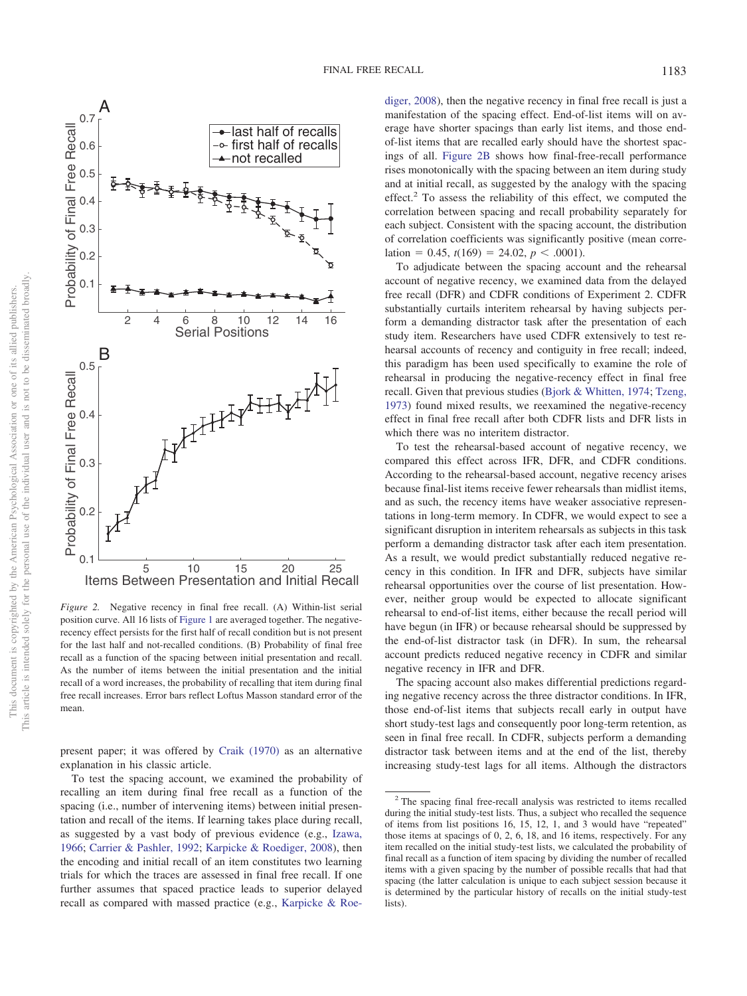

<span id="page-3-0"></span>*Figure 2.* Negative recency in final free recall. (A) Within-list serial position curve. All 16 lists of [Figure 1](#page-2-0) are averaged together. The negativerecency effect persists for the first half of recall condition but is not present for the last half and not-recalled conditions. (B) Probability of final free recall as a function of the spacing between initial presentation and recall. As the number of items between the initial presentation and the initial recall of a word increases, the probability of recalling that item during final free recall increases. Error bars reflect Loftus Masson standard error of the mean.

present paper; it was offered by [Craik \(1970\)](#page-4-0) as an alternative explanation in his classic article.

To test the spacing account, we examined the probability of recalling an item during final free recall as a function of the spacing (i.e., number of intervening items) between initial presentation and recall of the items. If learning takes place during recall, as suggested by a vast body of previous evidence (e.g., [Izawa,](#page-5-25) [1966;](#page-5-25) [Carrier & Pashler, 1992;](#page-4-3) [Karpicke & Roediger, 2008\)](#page-5-26), then the encoding and initial recall of an item constitutes two learning trials for which the traces are assessed in final free recall. If one further assumes that spaced practice leads to superior delayed recall as compared with massed practice (e.g., [Karpicke & Roe-](#page-5-26)

[diger, 2008\)](#page-5-26), then the negative recency in final free recall is just a manifestation of the spacing effect. End-of-list items will on average have shorter spacings than early list items, and those endof-list items that are recalled early should have the shortest spacings of all. [Figure 2B](#page-3-0) shows how final-free-recall performance rises monotonically with the spacing between an item during study and at initial recall, as suggested by the analogy with the spacing effect.<sup>2</sup> To assess the reliability of this effect, we computed the correlation between spacing and recall probability separately for each subject. Consistent with the spacing account, the distribution of correlation coefficients was significantly positive (mean correlation = 0.45,  $t(169) = 24.02$ ,  $p < .0001$ ).

To adjudicate between the spacing account and the rehearsal account of negative recency, we examined data from the delayed free recall (DFR) and CDFR conditions of Experiment 2. CDFR substantially curtails interitem rehearsal by having subjects perform a demanding distractor task after the presentation of each study item. Researchers have used CDFR extensively to test rehearsal accounts of recency and contiguity in free recall; indeed, this paradigm has been used specifically to examine the role of rehearsal in producing the negative-recency effect in final free recall. Given that previous studies [\(Bjork & Whitten, 1974;](#page-4-4) [Tzeng,](#page-5-27) [1973\)](#page-5-27) found mixed results, we reexamined the negative-recency effect in final free recall after both CDFR lists and DFR lists in which there was no interitem distractor.

To test the rehearsal-based account of negative recency, we compared this effect across IFR, DFR, and CDFR conditions. According to the rehearsal-based account, negative recency arises because final-list items receive fewer rehearsals than midlist items, and as such, the recency items have weaker associative representations in long-term memory. In CDFR, we would expect to see a significant disruption in interitem rehearsals as subjects in this task perform a demanding distractor task after each item presentation. As a result, we would predict substantially reduced negative recency in this condition. In IFR and DFR, subjects have similar rehearsal opportunities over the course of list presentation. However, neither group would be expected to allocate significant rehearsal to end-of-list items, either because the recall period will have begun (in IFR) or because rehearsal should be suppressed by the end-of-list distractor task (in DFR). In sum, the rehearsal account predicts reduced negative recency in CDFR and similar negative recency in IFR and DFR.

The spacing account also makes differential predictions regarding negative recency across the three distractor conditions. In IFR, those end-of-list items that subjects recall early in output have short study-test lags and consequently poor long-term retention, as seen in final free recall. In CDFR, subjects perform a demanding distractor task between items and at the end of the list, thereby increasing study-test lags for all items. Although the distractors

<sup>2</sup> The spacing final free-recall analysis was restricted to items recalled during the initial study-test lists. Thus, a subject who recalled the sequence of items from list positions 16, 15, 12, 1, and 3 would have "repeated" those items at spacings of 0, 2, 6, 18, and 16 items, respectively. For any item recalled on the initial study-test lists, we calculated the probability of final recall as a function of item spacing by dividing the number of recalled items with a given spacing by the number of possible recalls that had that spacing (the latter calculation is unique to each subject session because it is determined by the particular history of recalls on the initial study-test lists).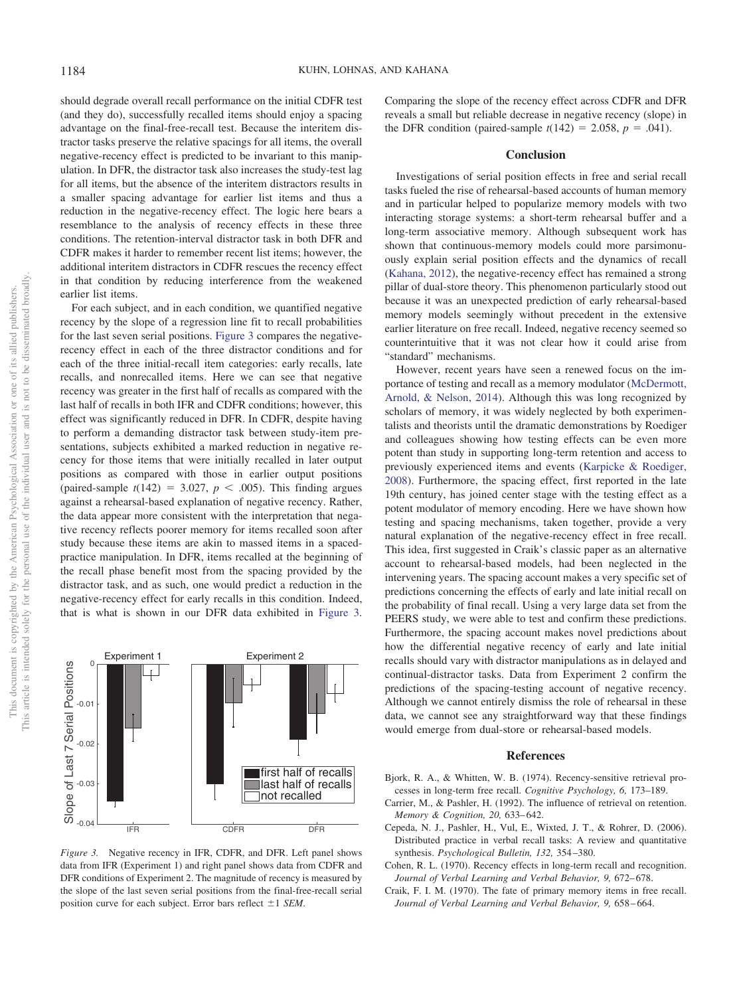should degrade overall recall performance on the initial CDFR test (and they do), successfully recalled items should enjoy a spacing advantage on the final-free-recall test. Because the interitem distractor tasks preserve the relative spacings for all items, the overall negative-recency effect is predicted to be invariant to this manipulation. In DFR, the distractor task also increases the study-test lag for all items, but the absence of the interitem distractors results in a smaller spacing advantage for earlier list items and thus a reduction in the negative-recency effect. The logic here bears a resemblance to the analysis of recency effects in these three conditions. The retention-interval distractor task in both DFR and CDFR makes it harder to remember recent list items; however, the additional interitem distractors in CDFR rescues the recency effect in that condition by reducing interference from the weakened earlier list items.

For each subject, and in each condition, we quantified negative recency by the slope of a regression line fit to recall probabilities for the last seven serial positions. [Figure 3](#page-4-5) compares the negativerecency effect in each of the three distractor conditions and for each of the three initial-recall item categories: early recalls, late recalls, and nonrecalled items. Here we can see that negative recency was greater in the first half of recalls as compared with the last half of recalls in both IFR and CDFR conditions; however, this effect was significantly reduced in DFR. In CDFR, despite having to perform a demanding distractor task between study-item presentations, subjects exhibited a marked reduction in negative recency for those items that were initially recalled in later output positions as compared with those in earlier output positions (paired-sample  $t(142) = 3.027$ ,  $p < .005$ ). This finding argues against a rehearsal-based explanation of negative recency. Rather, the data appear more consistent with the interpretation that negative recency reflects poorer memory for items recalled soon after study because these items are akin to massed items in a spacedpractice manipulation. In DFR, items recalled at the beginning of the recall phase benefit most from the spacing provided by the distractor task, and as such, one would predict a reduction in the negative-recency effect for early recalls in this condition. Indeed, that is what is shown in our DFR data exhibited in [Figure 3.](#page-4-5)

![](_page_4_Figure_4.jpeg)

<span id="page-4-5"></span>*Figure 3.* Negative recency in IFR, CDFR, and DFR. Left panel shows data from IFR (Experiment 1) and right panel shows data from CDFR and DFR conditions of Experiment 2. The magnitude of recency is measured by the slope of the last seven serial positions from the final-free-recall serial position curve for each subject. Error bars reflect  $\pm 1$  *SEM*.

Comparing the slope of the recency effect across CDFR and DFR reveals a small but reliable decrease in negative recency (slope) in the DFR condition (paired-sample  $t(142) = 2.058$ ,  $p = .041$ ).

## **Conclusion**

Investigations of serial position effects in free and serial recall tasks fueled the rise of rehearsal-based accounts of human memory and in particular helped to popularize memory models with two interacting storage systems: a short-term rehearsal buffer and a long-term associative memory. Although subsequent work has shown that continuous-memory models could more parsimonuously explain serial position effects and the dynamics of recall [\(Kahana, 2012\)](#page-5-28), the negative-recency effect has remained a strong pillar of dual-store theory. This phenomenon particularly stood out because it was an unexpected prediction of early rehearsal-based memory models seemingly without precedent in the extensive earlier literature on free recall. Indeed, negative recency seemed so counterintuitive that it was not clear how it could arise from "standard" mechanisms.

However, recent years have seen a renewed focus on the importance of testing and recall as a memory modulator [\(McDermott,](#page-5-29) [Arnold, & Nelson, 2014\)](#page-5-29). Although this was long recognized by scholars of memory, it was widely neglected by both experimentalists and theorists until the dramatic demonstrations by Roediger and colleagues showing how testing effects can be even more potent than study in supporting long-term retention and access to previously experienced items and events [\(Karpicke & Roediger,](#page-5-26) [2008\)](#page-5-26). Furthermore, the spacing effect, first reported in the late 19th century, has joined center stage with the testing effect as a potent modulator of memory encoding. Here we have shown how testing and spacing mechanisms, taken together, provide a very natural explanation of the negative-recency effect in free recall. This idea, first suggested in Craik's classic paper as an alternative account to rehearsal-based models, had been neglected in the intervening years. The spacing account makes a very specific set of predictions concerning the effects of early and late initial recall on the probability of final recall. Using a very large data set from the PEERS study, we were able to test and confirm these predictions. Furthermore, the spacing account makes novel predictions about how the differential negative recency of early and late initial recalls should vary with distractor manipulations as in delayed and continual-distractor tasks. Data from Experiment 2 confirm the predictions of the spacing-testing account of negative recency. Although we cannot entirely dismiss the role of rehearsal in these data, we cannot see any straightforward way that these findings would emerge from dual-store or rehearsal-based models.

### **References**

- <span id="page-4-4"></span>Bjork, R. A., & Whitten, W. B. (1974). Recency-sensitive retrieval processes in long-term free recall. *Cognitive Psychology, 6,* 173–189.
- <span id="page-4-3"></span>Carrier, M., & Pashler, H. (1992). The influence of retrieval on retention. *Memory & Cognition, 20,* 633– 642.
- <span id="page-4-2"></span>Cepeda, N. J., Pashler, H., Vul, E., Wixted, J. T., & Rohrer, D. (2006). Distributed practice in verbal recall tasks: A review and quantitative synthesis. *Psychological Bulletin, 132,* 354 –380.
- <span id="page-4-1"></span>Cohen, R. L. (1970). Recency effects in long-term recall and recognition. Journal of Verbal Learning and Verbal Behavior, 9, 672-678.
- <span id="page-4-0"></span>Craik, F. I. M. (1970). The fate of primary memory items in free recall. *Journal of Verbal Learning and Verbal Behavior, 9,* 658 – 664.